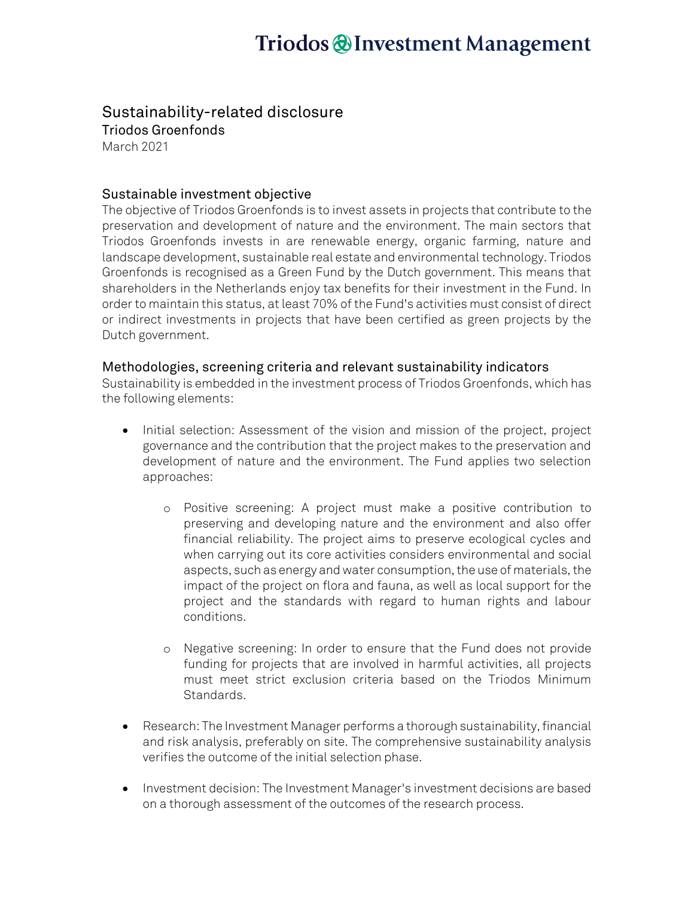# Triodos @Investment Management

### Sustainability-related disclosure

Triodos Groenfonds March 2021

### Sustainable investment objective

The objective of Triodos Groenfonds is to invest assets in projects that contribute to the preservation and development of nature and the environment. The main sectors that Triodos Groenfonds invests in are renewable energy, organic farming, nature and landscape development, sustainable real estate and environmental technology. Triodos Groenfonds is recognised as a Green Fund by the Dutch government. This means that shareholders in the Netherlands enjoy tax benefits for their investment in the Fund. In order to maintain this status, at least 70% of the Fund's activities must consist of direct or indirect investments in projects that have been certified as green projects by the Dutch government.

#### Methodologies, screening criteria and relevant sustainability indicators

Sustainability is embedded in the investment process of Triodos Groenfonds, which has the following elements:

- Initial selection: Assessment of the vision and mission of the project, project governance and the contribution that the project makes to the preservation and development of nature and the environment. The Fund applies two selection approaches:
	- o Positive screening: A project must make a positive contribution to preserving and developing nature and the environment and also offer financial reliability. The project aims to preserve ecological cycles and when carrying out its core activities considers environmental and social aspects, such as energy and water consumption, the use of materials, the impact of the project on flora and fauna, as well as local support for the project and the standards with regard to human rights and labour conditions.
	- o Negative screening: In order to ensure that the Fund does not provide funding for projects that are involved in harmful activities, all projects must meet strict exclusion criteria based on the Triodos Minimum Standards.
- Research: The Investment Manager performs a thorough sustainability, financial and risk analysis, preferably on site. The comprehensive sustainability analysis verifies the outcome of the initial selection phase.
- Investment decision: The Investment Manager's investment decisions are based on a thorough assessment of the outcomes of the research process.